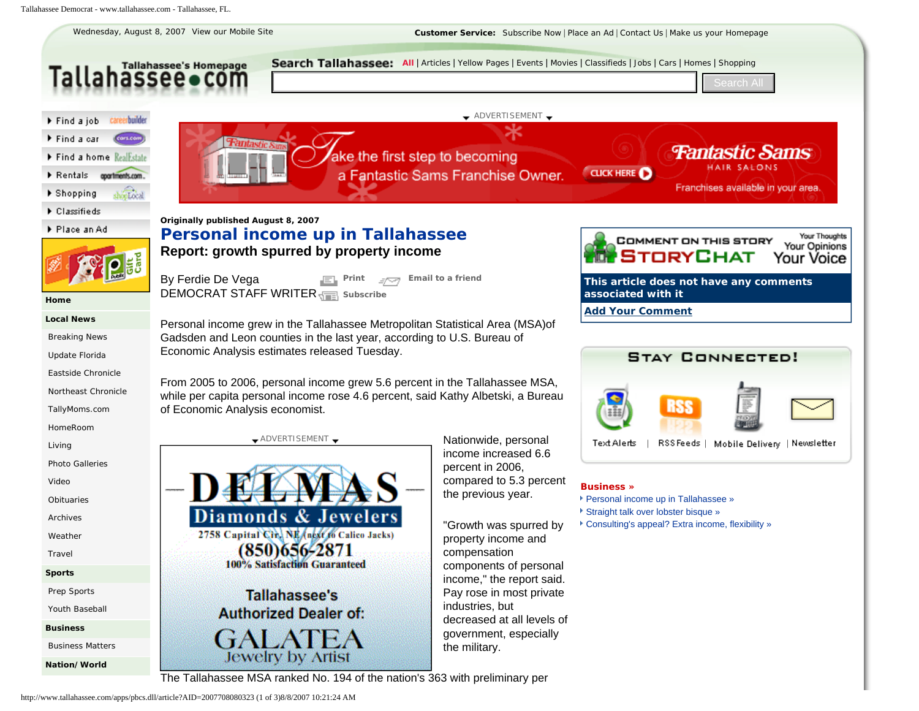<span id="page-0-0"></span>